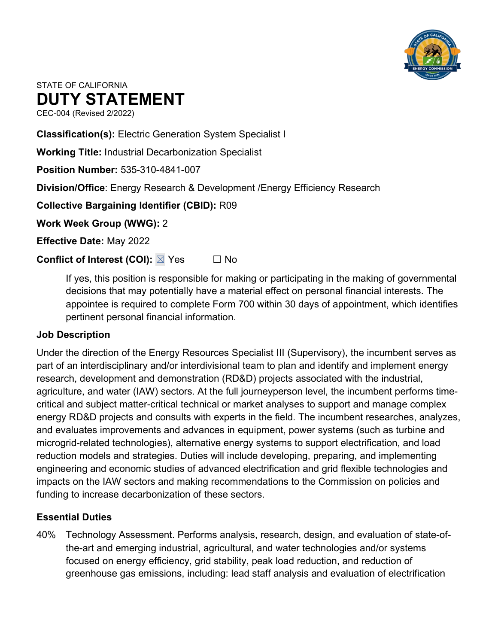

# STATE OF CALIFORNIA **DUTY STATEMENT**

CEC-004 (Revised 2/2022)

**Classification(s):** Electric Generation System Specialist I

**Working Title:** Industrial Decarbonization Specialist

**Position Number:** 535-310-4841-007

**Division/Office**: Energy Research & Development /Energy Efficiency Research

**Collective Bargaining Identifier (CBID):** R09

**Work Week Group (WWG):** 2

**Effective Date:** May 2022

**Conflict of Interest (COI):** ⊠ Yes □ No

If yes, this position is responsible for making or participating in the making of governmental decisions that may potentially have a material effect on personal financial interests. The appointee is required to complete Form 700 within 30 days of appointment, which identifies pertinent personal financial information.

## **Job Description**

Under the direction of the Energy Resources Specialist III (Supervisory), the incumbent serves as part of an interdisciplinary and/or interdivisional team to plan and identify and implement energy research, development and demonstration (RD&D) projects associated with the industrial, agriculture, and water (IAW) sectors. At the full journeyperson level, the incumbent performs timecritical and subject matter-critical technical or market analyses to support and manage complex energy RD&D projects and consults with experts in the field. The incumbent researches, analyzes, and evaluates improvements and advances in equipment, power systems (such as turbine and microgrid-related technologies), alternative energy systems to support electrification, and load reduction models and strategies. Duties will include developing, preparing, and implementing engineering and economic studies of advanced electrification and grid flexible technologies and impacts on the IAW sectors and making recommendations to the Commission on policies and funding to increase decarbonization of these sectors.

## **Essential Duties**

40% Technology Assessment. Performs analysis, research, design, and evaluation of state-ofthe-art and emerging industrial, agricultural, and water technologies and/or systems focused on energy efficiency, grid stability, peak load reduction, and reduction of greenhouse gas emissions, including: lead staff analysis and evaluation of electrification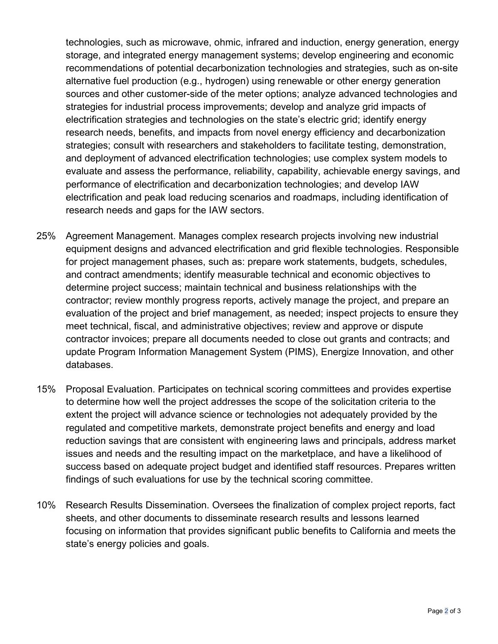technologies, such as microwave, ohmic, infrared and induction, energy generation, energy storage, and integrated energy management systems; develop engineering and economic recommendations of potential decarbonization technologies and strategies, such as on-site alternative fuel production (e.g., hydrogen) using renewable or other energy generation sources and other customer-side of the meter options; analyze advanced technologies and strategies for industrial process improvements; develop and analyze grid impacts of electrification strategies and technologies on the state's electric grid; identify energy research needs, benefits, and impacts from novel energy efficiency and decarbonization strategies; consult with researchers and stakeholders to facilitate testing, demonstration, and deployment of advanced electrification technologies; use complex system models to evaluate and assess the performance, reliability, capability, achievable energy savings, and performance of electrification and decarbonization technologies; and develop IAW electrification and peak load reducing scenarios and roadmaps, including identification of research needs and gaps for the IAW sectors.

- 25% Agreement Management. Manages complex research projects involving new industrial equipment designs and advanced electrification and grid flexible technologies. Responsible for project management phases, such as: prepare work statements, budgets, schedules, and contract amendments; identify measurable technical and economic objectives to determine project success; maintain technical and business relationships with the contractor; review monthly progress reports, actively manage the project, and prepare an evaluation of the project and brief management, as needed; inspect projects to ensure they meet technical, fiscal, and administrative objectives; review and approve or dispute contractor invoices; prepare all documents needed to close out grants and contracts; and update Program Information Management System (PIMS), Energize Innovation, and other databases.
- 15% Proposal Evaluation. Participates on technical scoring committees and provides expertise to determine how well the project addresses the scope of the solicitation criteria to the extent the project will advance science or technologies not adequately provided by the regulated and competitive markets, demonstrate project benefits and energy and load reduction savings that are consistent with engineering laws and principals, address market issues and needs and the resulting impact on the marketplace, and have a likelihood of success based on adequate project budget and identified staff resources. Prepares written findings of such evaluations for use by the technical scoring committee.
- 10% Research Results Dissemination. Oversees the finalization of complex project reports, fact sheets, and other documents to disseminate research results and lessons learned focusing on information that provides significant public benefits to California and meets the state's energy policies and goals.